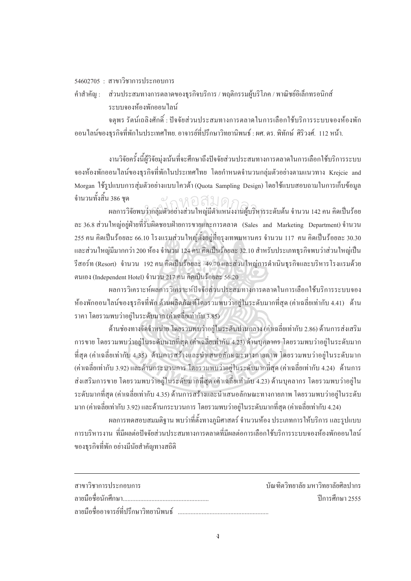## $54602705 :$  สาขาวิชาการประกอบการ

<u>.</u>

คำสำคัญ : ส่วนประสมทางการตลาดของธุรกิจบริการ / พฤติกรรมผู้บริโภค / พาณิชย์อิเล็กทรอนิกส์ ็ระบบจองห้องพักออนไลน์

จตุพร รัตน์เถลิงศักดิ์ : ปัจจัยส่วนประสมทางการตลาดในการเลือกใช้บริการระบบจองห้องพัก ้ออนไลน์ของธรกิจที่พักในประเทศไทย. อาจารย์ที่ปรึกษาวิทยานิพนธ์ : ผศ. คร. พิทักษ์ ศิริวงศ์. 112 หน้า.

งานวิจัยครั้งนี้ผู้วิจัยมุ่งเน้นที่จะศึกษาถึงปัจจัยส่วนประสมทางการตลาดในการเลือกใช้บริการระบบ ´Ê ึ่งองห้องพักออนไลน์ของธรกิจที่พักในประเทศไทย โดยกำหนดจำนวนกล่มตัวอย่างตามแนวทาง Kreicie and Morgan ใช้รูปแบบการส่มตัวอย่างแบบโควต้า (Ouota Sampling Design) โดยใช้แบบสอบถามในการเก็บข้อมล จำนวนทั้งสิ้น 386 ชุด .<br>.<br>.

ผลการวิจัยพบว่ากลุ่มตัวอย่างส่วนใหญ่มีตำแหน่งงานผู้บริหารระดับต้น จำนวน 142 คน คิดเป็นร้อย ถะ 36.8 ส่วนใหญ่อยู่ฝ่ายที่รับผิดชอบฝ่ายการขายและการตลาด (Sales and Marketing Department) จำนวน  $\,$  255 คน คิดเป็นร้อยละ 66.10 โรงแรมส่วนใหญ่ตั้งอยู่ที่กรุงเทพมหานคร จำนวน 117 คน คิดเป็นร้อยละ 30.30 และส่วนใหญ่มีมากกว่า 200 ห้อง จำนวน 124 คน คิดเป็นร้อยละ 32.10 สำหรับประเภทธุรกิจพบว่าส่วนใหญ่เป็น ู้รีสอร์ท (Resort) จำนวน 192 คน คิดเป็นร้อยละ 49.70 และส่วนใหญ่การดำเนินธุรกิจและบริหาร โรงแรมด้วย ัตนเอง (Independent Hotel) จำนวน 217 คน คิดเป็นร้อยละ 56.20 สำนกัหอส<sup>ม</sup> ุดกลา<sup>ง</sup>

าผลการวิเคราะห์ผลการวิเคราะห์ปัจจัยส่วนประสมทางการตลาดในการเลือกใช้บริการระบบจอง ห้องพักออนใลน์ของธุรกิจที่พัก ด้านผลิตภัณฑ์โดยรวมพบว่าอยู่ในระดับมากที่สุด (ค่าเฉลี่ยเท่ากับ 4.41) ด้าน ∫ ราคา โดยรวมพบว่าอยู่ในระดับมาก (ค่าเฉลี่ยเท่ากับ 3.85) │<br>│

ด้านช่องทางจัดจำหน่าย โดยรวมพบว่าอยู่ในระดับปานกลาง (ก่าเฉลี่ยเท่ากับ 2.86) ด้านการส่งเสริม การขาย โดยรวมพบว่าอยู่ในระดับมากที่สุด (ค่าเฉลี่ยเท่ากับ 4.23) ด้านบุกลากร โดยรวมพบว่าอยู่ในระดับมาก ¸É ที่สุด (ค่าเฉลี่ยเท่ากับ 4.35) ด้านการสร้างและนำเสนอลักษณะทางกายทาพ โดยรวมพบว่าอยู่ในระดับมาก se de la construction de la construction de la construction de la construction de la construction de la construction de la construction de la construction de la construction de la construction de la construction de la con (ค่าเฉลี่ยเท่ากับ 3.92) และด้านกระบวนการ โดยรวมพบว่าอยู่ในระดับมากที่สุด (ค่าเฉลี่ยเท่ากับ 4.24) ด้านการ ¸É ∫ ส่งเสริมการขาย โดยรวมพบว่าอยู่ในระดับมากที่สุด (ค่าเฉลี่ยเท่ากับ 4.23) ด้านบุคลากร โดยรวมพบว่าอยู่ใน ระดับมากที่สุด (ค่าเฉลี่ยเท่ากับ 4.35) ด้านการสร้างและนำเสนอลักษณะทางกายภาพ โดยรวมพบว่าอยู่ในระดับ ¸É มาก (ค่าเฉลี่ยเท่ากับ 3.92) และด้านกระบวนการ โดยรวมพบว่าอยู่ในระดับมากที่สุด (ค่าเฉลี่ยเท่ากับ 4.24) ¸É ∫

้ ผลการทดสอบสมมติฐาน พบว่าที่ตั้งทางภมิศาสตร์ จำนวนห้อง ประเภทการให้บริการ และรปแบบ ่ การบริหารงาน ที่มีผลต่อปัจจัยส่วนประสมทางการตลาดที่มีผลต่อการเลือกใช้บริการระบบจองห้องพักออนไลน์ ของธุรกิจที่พัก อย่างมีนัยสำคัญทางสถิติ

| สาขาวิชาการประกอบการ                   | ำโณฑิตวิทยาลัย มหาวิทยาลัยศิลปากร |
|----------------------------------------|-----------------------------------|
|                                        | ์ ปีการศึกษา 2555                 |
| ิลายมือชื่ออาจารย์ที่ปรึกษาวิทยานิพนธ์ |                                   |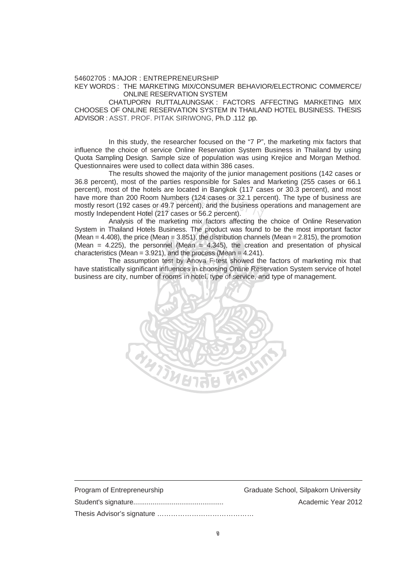## 54602705 : MAJOR : ENTREPRENEURSHIP KEY WORDS : THE MARKETING MIX/CONSUMER BEHAVIOR/ELECTRONIC COMMERCE/ ONLINE RESERVATION SYSTEM

 CHATUPORN RUTTALAUNGSAK : FACTORS AFFECTING MARKETING MIX CHOOSES OF ONLINE RESERVATION SYSTEM IN THAILAND HOTEL BUSINESS. THESIS ADVISOR : ASST. PROF. PITAK SIRIWONG, Ph.D .112 pp.

In this study, the researcher focused on the "7 P", the marketing mix factors that influence the choice of service Online Reservation System Business in Thailand by using Quota Sampling Design. Sample size of population was using Krejice and Morgan Method. Questionnaires were used to collect data within 386 cases.

The results showed the majority of the junior management positions (142 cases or 36.8 percent), most of the parties responsible for Sales and Marketing (255 cases or 66.1 percent), most of the hotels are located in Bangkok (117 cases or 30.3 percent), and most have more than 200 Room Numbers (124 cases or 32.1 percent). The type of business are mostly resort (192 cases or 49.7 percent), and the business operations and management are mostly Independent Hotel (217 cases or 56.2 percent). Room Numbers (124 cases or 32.1 per<br>ses or 49.7 percent), and the business o<br>lotel (217 cases or 56.2 percent).<br>f the marketing mix factors affecting the

 Analysis of the marketing mix factors affecting the choice of Online Reservation System in Thailand Hotels Business. The product was found to be the most important factor (Mean =  $4.408$ ), the price (Mean =  $3.851$ ), the distribution channels (Mean =  $2.815$ ), the promotion (Mean =  $4.225$ ), the personnel (Mean =  $4.345$ ), the creation and presentation of physical characteristics (Mean = 3.921), and the process (Mean = 4.241).

The assumption test by Anova F-test showed the factors of marketing mix that have statistically significant influences in choosing Online Reservation System service of hotel business are city, number of rooms in hotel, type of service, and type of management.



| Program of Entrepreneurship | Graduate School, Silpakorn University |
|-----------------------------|---------------------------------------|
|                             | Academic Year 2012                    |
|                             |                                       |